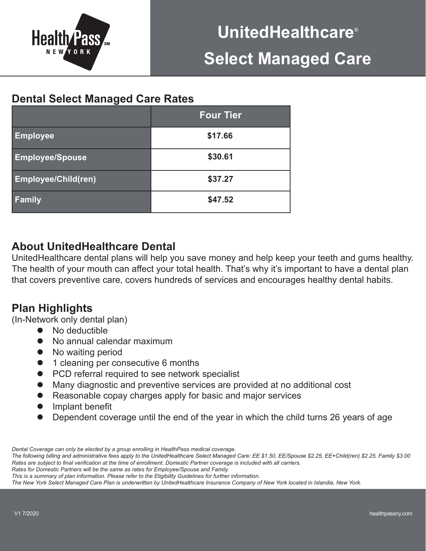

## **Dental Select Managed Care Rates**

|                            | <b>Four Tier</b> |
|----------------------------|------------------|
| <b>Employee</b>            | \$17.66          |
| <b>Employee/Spouse</b>     | \$30.61          |
| <b>Employee/Child(ren)</b> | \$37.27          |
| <b>Family</b>              | \$47.52          |

### **About UnitedHealthcare Dental**

UnitedHealthcare dental plans will help you save money and help keep your teeth and gums healthy. The health of your mouth can affect your total health. That's why it's important to have a dental plan that covers preventive care, covers hundreds of services and encourages healthy dental habits.

# **Plan Highlights**

(In-Network only dental plan)

- No deductible
- No annual calendar maximum
- No waiting period
- 1 cleaning per consecutive 6 months
- PCD referral required to see network specialist
- Many diagnostic and preventive services are provided at no additional cost
- Reasonable copay charges apply for basic and major services
- Implant benefit
- Dependent coverage until the end of the year in which the child turns 26 years of age

*Dental Coverage can only be elected by a group enrolling in HealthPass medical coverage.*

*Rates for Domestic Partners will be the same as rates for Employee/Spouse and Family.* 

*The New York Select Managed Care Plan is underwritten by UnitedHealthcare Insurance Company of New York located in Islandia, New York.*

*The following billing and administrative fees apply to the UnitedHealthcare Select Managed Care: EE \$1.50, EE/Spouse \$2.25, EE+Child(ren) \$2.25, Family \$3.00* Rates are subject to final verification at the time of enrollment. Domestic Partner coverage is included with all carriers.

*This is a summary of plan information. Please refer to the Eligibility Guidelines for further information.*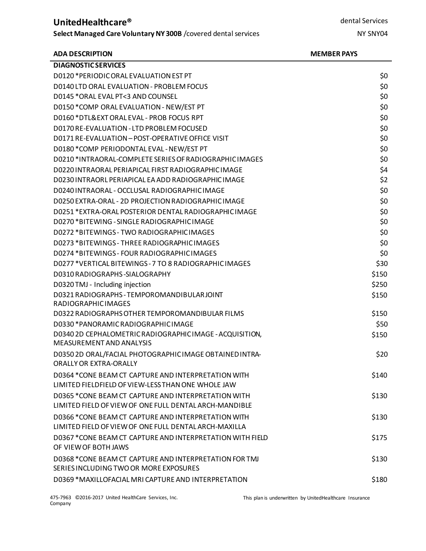### **UnitedHealthcare®**

**Select Managed Care Voluntary NY300B** /covered dental services

#### **ADA DESCRIPTION MEMBER PAYS**

| <b>DIAGNOSTIC SERVICES</b>                                                                                    |       |
|---------------------------------------------------------------------------------------------------------------|-------|
| D0120 * PERIODIC ORAL EVALUATION EST PT                                                                       | \$0   |
| D0140 LTD ORAL EVALUATION - PROBLEM FOCUS                                                                     | \$0   |
| D0145 * ORAL EVAL PT<3 AND COUNSEL                                                                            | \$0   |
| D0150 *COMP ORAL EVALUATION - NEW/EST PT                                                                      | \$0   |
| D0160 *DTL&EXT ORAL EVAL - PROB FOCUS RPT                                                                     | \$0   |
| D0170 RE-EVALUATION - LTD PROBLEM FOCUSED                                                                     | \$0   |
| D0171 RE-EVALUATION - POST-OPERATIVE OFFICE VISIT                                                             | \$0   |
| D0180 *COMP PERIODONTAL EVAL - NEW/EST PT                                                                     | \$0   |
| D0210 *INTRAORAL-COMPLETE SERIES OF RADIOGRAPHIC IMAGES                                                       | \$0   |
| D0220 INTRAORAL PERIAPICAL FIRST RADIOGRAPHIC IMAGE                                                           | \$4   |
| D0230 INTRAORL PERIAPICAL EA ADD RADIOGRAPHIC IMAGE                                                           | \$2   |
| D0240 INTRAORAL - OCCLUSAL RADIOGRAPHIC IMAGE                                                                 | \$0   |
| D0250 EXTRA-ORAL - 2D PROJECTION RADIOGRAPHIC IMAGE                                                           | \$0   |
| D0251 * EXTRA-ORAL POSTERIOR DENTAL RADIOGRAPHIC IMAGE                                                        | \$0   |
| D0270 *BITEWING - SINGLE RADIOGRAPHIC IMAGE                                                                   | \$0   |
| D0272 *BITFWINGS - TWO RADIOGRAPHIC IMAGES                                                                    | \$0   |
| D0273 *BITEWINGS - THREE RADIOGRAPHIC IMAGES                                                                  | \$0   |
| D0274 *BITEWINGS - FOUR RADIOGRAPHIC IMAGES                                                                   | \$0   |
| D0277 *VERTICAL BITEWINGS - 7 TO 8 RADIOGRAPHIC IMAGES                                                        | \$30  |
| D0310 RADIOGRAPHS-SIALOGRAPHY                                                                                 | \$150 |
| D0320 TMJ - Including injection                                                                               | \$250 |
| D0321 RADIOGRAPHS - TEMPOROMANDIBULARJOINT<br><b>RADIOGRAPHICIMAGES</b>                                       | \$150 |
| D0322 RADIOGRAPHS OTHER TEMPOROMANDIBULAR FILMS                                                               | \$150 |
| D0330 *PANORAMIC RADIOGRAPHIC IMAGE                                                                           | \$50  |
| D0340 2D CEPHALOMETRIC RADIOGRAPHIC IMAGE - ACQUISITION,<br>MEASUREMENT AND ANALYSIS                          | \$150 |
| D0350 2D ORAL/FACIAL PHOTOGRAPHIC IMAGE OBTAINED INTRA-<br><b>ORALLY OR EXTRA-ORALLY</b>                      | \$20  |
| D0364 *CONE BEAM CT CAPTURE AND INTERPRETATION WITH<br>LIMITED FIELDFIELD OF VIEW-LESS THAN ONE WHOLE JAW     | \$140 |
| D0365 *CONE BEAM CT CAPTURE AND INTERPRETATION WITH<br>LIMITED FIELD OF VIEW OF ONE FULL DENTAL ARCH-MANDIBLE | \$130 |
| D0366 *CONE BEAM CT CAPTURE AND INTERPRETATION WITH<br>LIMITED FIELD OF VIEW OF ONE FULL DENTAL ARCH-MAXILLA  | \$130 |
| D0367 *CONE BEAM CT CAPTURE AND INTERPRETATION WITH FIELD<br>OF VIEW OF BOTH JAWS                             | \$175 |
| D0368 *CONE BEAM CT CAPTURE AND INTERPRETATION FOR TMJ<br>SERIES INCLUDING TWO OR MORE EXPOSURES              | \$130 |
| D0369 *MAXILLOFACIAL MRI CAPTURE AND INTERPRETATION                                                           | \$180 |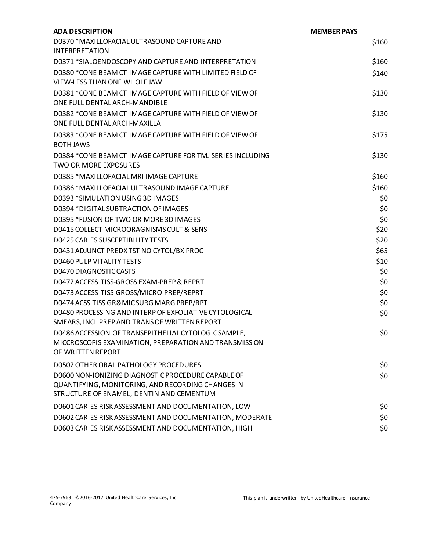| <b>ADA DESCRIPTION</b>                                     | <b>MEMBER PAYS</b> |
|------------------------------------------------------------|--------------------|
| D0370 *MAXILLOFACIAL ULTRASOUND CAPTURE AND                | \$160              |
| <b>INTERPRETATION</b>                                      |                    |
| D0371 *SIALOENDOSCOPY AND CAPTURE AND INTERPRETATION       | \$160              |
| D0380 *CONE BEAM CT IMAGE CAPTURE WITH LIMITED FIELD OF    | \$140              |
| <b>VIEW-LESS THAN ONE WHOLE JAW</b>                        |                    |
| D0381 *CONE BEAM CT IMAGE CAPTURE WITH FIELD OF VIEW OF    | \$130              |
| ONE FULL DENTAL ARCH-MANDIBLE                              |                    |
| D0382 *CONE BEAM CT IMAGE CAPTURE WITH FIELD OF VIEW OF    | \$130              |
| ONE FULL DENTAL ARCH-MAXILLA                               |                    |
| D0383 *CONE BEAM CT IMAGE CAPTURE WITH FIELD OF VIEW OF    | \$175              |
| <b>BOTH JAWS</b>                                           |                    |
| D0384 *CONE BEAM CT IMAGE CAPTURE FOR TMJ SERIES INCLUDING | \$130              |
| <b>TWO OR MORE EXPOSURES</b>                               |                    |
| D0385 *MAXILLOFACIAL MRI IMAGE CAPTURE                     | \$160              |
| D0386 *MAXILLOFACIAL ULTRASOUND IMAGE CAPTURE              | \$160              |
| D0393 *SIMULATION USING 3D IMAGES                          | \$0                |
| D0394 *DIGITAL SUBTRACTION OF IMAGES                       | \$0                |
| D0395 * FUSION OF TWO OR MORE 3D IMAGES                    | \$0                |
| D0415 COLLECT MICROORAGNISMS CULT & SENS                   | \$20               |
| D0425 CARIES SUSCEPTIBILITY TESTS                          | \$20               |
| D0431 ADJUNCT PREDX TST NO CYTOL/BX PROC                   | \$65               |
| D0460 PULP VITALITY TESTS                                  | \$10               |
| D0470 DIAGNOSTIC CASTS                                     | \$0                |
| D0472 ACCESS TISS-GROSS EXAM-PREP & REPRT                  | \$0                |
| D0473 ACCESS TISS-GROSS/MICRO-PREP/REPRT                   | \$0                |
| D0474 ACSS TISS GR&MICSURG MARG PREP/RPT                   | \$0                |
| D0480 PROCESSING AND INTERP OF EXFOLIATIVE CYTOLOGICAL     | \$0                |
| SMEARS, INCL PREP AND TRANS OF WRITTEN REPORT              |                    |
| D0486 ACCESSION OF TRANSEPITHELIAL CYTOLOGIC SAMPLE,       | \$0                |
| MICCROSCOPIS EXAMINATION, PREPARATION AND TRANSMISSION     |                    |
| OF WRITTEN REPORT                                          |                    |
| D0502 OTHER ORAL PATHOLOGY PROCEDURES                      | \$0                |
| D0600 NON-IONIZING DIAGNOSTIC PROCEDURE CAPABLE OF         | \$0\$              |
| QUANTIFYING, MONITORING, AND RECORDING CHANGES IN          |                    |
| STRUCTURE OF ENAMEL, DENTIN AND CEMENTUM                   |                    |
| D0601 CARIES RISK ASSESSMENT AND DOCUMENTATION, LOW        | \$0                |
| D0602 CARIES RISK ASSESSMENT AND DOCUMENTATION, MODERATE   | \$0                |
| D0603 CARIES RISK ASSESSMENT AND DOCUMENTATION, HIGH       | \$0                |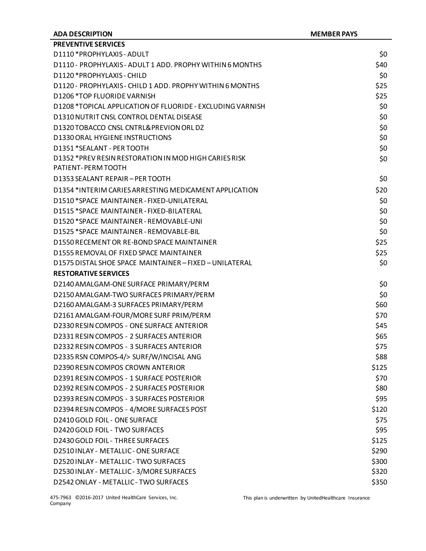| <b>ADA DESCRIPTION</b>                                                      | <b>MEMBER PAYS</b> |
|-----------------------------------------------------------------------------|--------------------|
| <b>PREVENTIVE SERVICES</b>                                                  |                    |
| D1110 * PROPHYLAXIS - ADULT                                                 | \$0                |
| D1110 - PROPHYLAXIS - ADULT 1 ADD. PROPHY WITHIN 6 MONTHS                   | \$40               |
| D1120 * PROPHYLAXIS - CHILD                                                 | \$0                |
| D1120 - PROPHYLAXIS - CHILD 1 ADD. PROPHY WITHIN 6 MONTHS                   | \$25               |
| D1206 *TOP FLUORIDE VARNISH                                                 | \$25               |
| D1208 *TOPICAL APPLICATION OF FLUORIDE - EXCLUDING VARNISH                  | \$0                |
| D1310 NUTRIT CNSL CONTROL DENTAL DISEASE                                    | \$0                |
| D1320 TOBACCO CNSL CNTRL& PREVION ORLDZ                                     | \$0                |
| D1330 ORAL HYGIENE INSTRUCTIONS                                             | \$0                |
| D1351 *SEALANT - PER TOOTH                                                  | \$0                |
| D1352 *PREV RESIN RESTORATION IN MOD HIGH CARIES RISK<br>PATIENT-PERM TOOTH | \$0                |
| D1353 SEALANT REPAIR - PER TOOTH                                            | \$0                |
| D1354 *INTERIM CARIES ARRESTING MEDICAMENT APPLICATION                      | \$20               |
| D1510 *SPACE MAINTAINER - FIXED-UNILATERAL                                  | \$0                |
| D1515 *SPACE MAINTAINER - FIXED-BILATERAL                                   | \$0                |
| D1520 *SPACE MAINTAINER - REMOVABLE-UNI                                     | \$0                |
| D1525 *SPACE MAINTAINER - REMOVABLE-BIL                                     | \$0                |
| D1550 RECEMENT OR RE-BOND SPACE MAINTAINER                                  | \$25               |
| D1555 REMOVAL OF FIXED SPACE MAINTAINER                                     | \$25               |
| D1575 DISTAL SHOE SPACE MAINTAINER - FIXED - UNILATERAL                     | \$0                |
| <b>RESTORATIVE SERVICES</b>                                                 |                    |
| D2140 AMALGAM-ONE SURFACE PRIMARY/PERM                                      | \$0                |
| D2150 AMALGAM-TWO SURFACES PRIMARY/PERM                                     | \$0                |
| D2160 AMALGAM-3 SURFACES PRIMARY/PERM                                       | \$60               |
| D2161 AMALGAM-FOUR/MORE SURF PRIM/PERM                                      | \$70               |
| D2330 RESIN COMPOS - ONE SURFACE ANTERIOR                                   | \$45               |
| D2331 RESIN COMPOS - 2 SURFACES ANTERIOR                                    | \$65               |
| D2332 RESIN COMPOS - 3 SURFACES ANTERIOR                                    | \$75               |
| D2335 RSN COMPOS-4/> SURF/W/INCISAL ANG                                     | \$88               |
| D2390 RESIN COMPOS CROWN ANTERIOR                                           | \$125              |
| D2391 RESIN COMPOS - 1 SURFACE POSTERIOR                                    | \$70               |
| D2392 RESIN COMPOS - 2 SURFACES POSTERIOR                                   | \$80               |
| D2393 RESIN COMPOS - 3 SURFACES POSTERIOR                                   | \$95               |
| D2394 RESIN COMPOS - 4/MORE SURFACES POST                                   | \$120              |
| D2410 GOLD FOIL - ONE SURFACE                                               | \$75               |
| D2420 GOLD FOIL - TWO SURFACES                                              | \$95               |
| D2430 GOLD FOIL - THREE SURFACES                                            | \$125              |
| D2510 INLAY - METALLIC - ONE SURFACE                                        | \$290              |
| D2520 INLAY - METALLIC - TWO SURFACES                                       | \$300              |
| D2530 INLAY - METALLIC - 3/MORE SURFACES                                    | \$320              |
| D2542 ONLAY - METALLIC - TWO SURFACES                                       | \$350              |

475-7963 ©2016-2017 United HealthCare Services, Inc. Company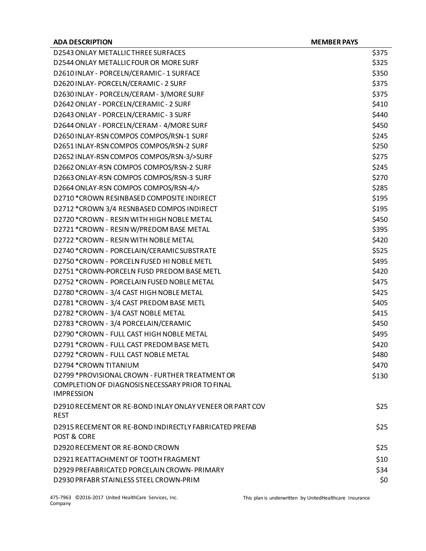| <b>ADA DESCRIPTION</b>                                                  | <b>MEMBER PAYS</b> |
|-------------------------------------------------------------------------|--------------------|
| D2543 ONLAY METALLICTHREE SURFACES                                      | \$375              |
| D2544 ONLAY METALLIC FOUR OR MORE SURF                                  | \$325              |
| D2610 INLAY - PORCELN/CERAMIC - 1 SURFACE                               | \$350              |
| D2620 INLAY- PORCELN/CERAMIC - 2 SURF                                   | \$375              |
| D2630 INLAY - PORCELN/CERAM - 3/MORE SURF                               | \$375              |
| D2642 ONLAY - PORCELN/CERAMIC - 2 SURF                                  | \$410              |
| D2643 ONLAY - PORCELN/CERAMIC - 3 SURF                                  | \$440              |
| D2644 ONLAY - PORCELN/CERAM - 4/MORE SURF                               | \$450              |
| D2650 INLAY-RSN COMPOS COMPOS/RSN-1 SURF                                | \$245              |
| D2651 INLAY-RSN COMPOS COMPOS/RSN-2 SURF                                | \$250              |
| D2652 INLAY-RSN COMPOS COMPOS/RSN-3/>SURF                               | \$275              |
| D2662 ONLAY-RSN COMPOS COMPOS/RSN-2 SURF                                | \$245              |
| D2663 ONLAY-RSN COMPOS COMPOS/RSN-3 SURF                                | \$270              |
| D2664 ONLAY-RSN COMPOS COMPOS/RSN-4/>                                   | \$285              |
| D2710 *CROWN RESINBASED COMPOSITE INDIRECT                              | \$195              |
| D2712 *CROWN 3/4 RESNBASED COMPOS INDIRECT                              | \$195              |
| D2720 *CROWN - RESIN WITH HIGH NOBLE METAL                              | \$450              |
| D2721 *CROWN - RESIN W/PREDOM BASE METAL                                | \$395              |
| D2722 * CROWN - RESIN WITH NOBLE METAL                                  | \$420              |
| D2740 *CROWN - PORCELAIN/CERAMIC SUBSTRATE                              | \$525              |
| D2750 *CROWN - PORCELN FUSED HI NOBLE METL                              | \$495              |
| D2751 *CROWN-PORCELN FUSD PREDOM BASE METL                              | \$420              |
| D2752 *CROWN - PORCELAIN FUSED NOBLE METAL                              | \$475              |
| D2780 *CROWN - 3/4 CAST HIGH NOBLE METAL                                | \$425              |
| D2781 *CROWN - 3/4 CAST PREDOM BASE METL                                | \$405              |
| D2782 *CROWN - 3/4 CAST NOBLE METAL                                     | \$415              |
| D2783 *CROWN - 3/4 PORCELAIN/CERAMIC                                    | \$450              |
| D2790 *CROWN - FULL CAST HIGH NOBLE METAL                               | \$495              |
| D2791 *CROWN - FULL CAST PREDOM BASE METL                               | \$420              |
| D2792 *CROWN - FULL CAST NOBLE METAL                                    | \$480              |
| D2794 * CROWN TITANIUM                                                  | \$470              |
| D2799 *PROVISIONAL CROWN - FURTHER TREATMENT OR                         | \$130              |
| COMPLETION OF DIAGNOSIS NECESSARY PRIOR TO FINAL<br><b>IMPRESSION</b>   |                    |
| D2910 RECEMENT OR RE-BOND INLAY ONLAY VENEER OR PART COV<br><b>REST</b> | \$25               |
| D2915 RECEMENT OR RE-BOND INDIRECTLY FABRICATED PREFAB<br>POST & CORE   | \$25               |
| D2920 RECEMENT OR RE-BOND CROWN                                         | \$25               |
| D2921 REATTACHMENT OF TOOTH FRAGMENT                                    | \$10               |
| D2929 PREFABRICATED PORCELAIN CROWN-PRIMARY                             | \$34               |
| D2930 PRFABR STAINLESS STEEL CROWN-PRIM                                 | \$0                |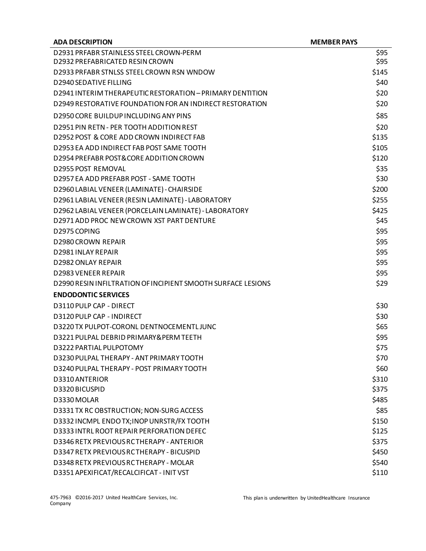| <b>ADA DESCRIPTION</b>                                       | <b>MEMBER PAYS</b> |
|--------------------------------------------------------------|--------------------|
| D2931 PRFABR STAINLESS STEEL CROWN-PERM                      | \$95               |
| D2932 PREFABRICATED RESIN CROWN                              | \$95               |
| D2933 PRFABR STNLSS STEEL CROWN RSN WNDOW                    | \$145              |
| D2940 SEDATIVE FILLING                                       | \$40               |
| D2941 INTERIM THERAPEUTIC RESTORATION - PRIMARY DENTITION    | \$20               |
| D2949 RESTORATIVE FOUNDATION FOR AN INDIRECT RESTORATION     | \$20               |
| D2950 CORE BUILDUP INCLUDING ANY PINS                        | \$85               |
| D2951 PIN RETN - PER TOOTH ADDITION REST                     | \$20               |
| D2952 POST & CORE ADD CROWN INDIRECT FAB                     | \$135              |
| D2953 EA ADD INDIRECT FAB POST SAME TOOTH                    | \$105              |
| D2954 PREFABR POST&CORE ADDITION CROWN                       | \$120              |
| <b>D2955 POST REMOVAL</b>                                    | \$35               |
| D2957 EA ADD PREFABR POST - SAME TOOTH                       | \$30               |
| D2960 LABIAL VENEER (LAMINATE) - CHAIRSIDE                   | \$200              |
| D2961 LABIAL VENEER (RESIN LAMINATE) - LABORATORY            | \$255              |
| D2962 LABIAL VENEER (PORCELAIN LAMINATE) - LABORATORY        | \$425              |
| D2971 ADD PROC NEW CROWN XST PART DENTURE                    | \$45               |
| D2975 COPING                                                 | \$95               |
| <b>D2980 CROWN REPAIR</b>                                    | \$95               |
| D2981 INLAY REPAIR                                           | \$95               |
| D2982 ONLAY REPAIR                                           | \$95               |
| <b>D2983 VENEER REPAIR</b>                                   | \$95               |
| D2990 RESIN INFILTRATION OF INCIPIENT SMOOTH SURFACE LESIONS | \$29               |
| <b>ENDODONTIC SERVICES</b>                                   |                    |
| D3110 PULP CAP - DIRECT                                      | \$30               |
| D3120 PULP CAP - INDIRECT                                    | \$30               |
| D3220 TX PULPOT-CORONL DENTNOCEMENTLJUNC                     | \$65               |
| D3221 PULPAL DEBRID PRIMARY& PERM TEETH                      | \$95               |
| D3222 PARTIAL PULPOTOMY                                      | \$75               |
| D3230 PULPAL THERAPY - ANT PRIMARY TOOTH                     | \$70               |
| D3240 PULPAL THERAPY - POST PRIMARY TOOTH                    | \$60               |
| D3310 ANTERIOR                                               | \$310              |
| D3320 BICUSPID                                               | \$375              |
| D3330 MOLAR                                                  | \$485              |
| D3331 TX RC OBSTRUCTION; NON-SURG ACCESS                     | \$85               |
| D3332 INCMPL ENDO TX; INOP UNRSTR/FX TOOTH                   | \$150              |
| D3333 INTRL ROOT REPAIR PERFORATION DEFEC                    | \$125              |
| D3346 RETX PREVIOUS RCTHERAPY - ANTERIOR                     | \$375              |
| D3347 RETX PREVIOUS RCTHERAPY - BICUSPID                     | \$450              |
| D3348 RETX PREVIOUS RCTHERAPY - MOLAR                        | \$540              |
| D3351 APEXIFICAT/RECALCIFICAT - INIT VST                     | \$110              |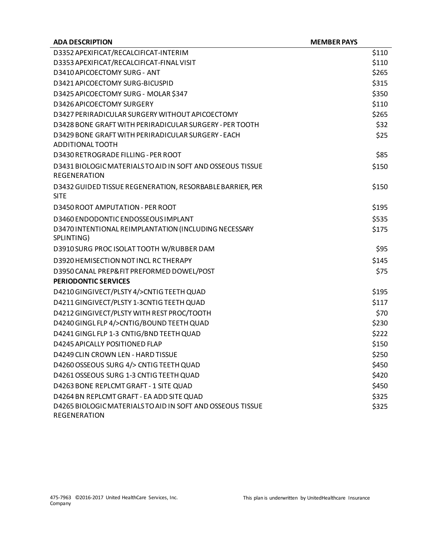| <b>ADA DESCRIPTION</b>                                                 | <b>MEMBER PAYS</b> |
|------------------------------------------------------------------------|--------------------|
| D3352 APEXIFICAT/RECALCIFICAT-INTERIM                                  | \$110              |
| D3353 APEXIFICAT/RECALCIFICAT-FINAL VISIT                              | \$110              |
| D3410 APICOECTOMY SURG - ANT                                           | \$265              |
| D3421 APICOECTOMY SURG-BICUSPID                                        | \$315              |
| D3425 APICOECTOMY SURG - MOLAR \$347                                   | \$350              |
| D3426 APICOECTOMY SURGERY                                              | \$110              |
| D3427 PERIRADICULAR SURGERY WITHOUT APICOECTOMY                        | \$265              |
| D3428 BONE GRAFT WITH PERIRADICULAR SURGERY - PER TOOTH                | \$32               |
| D3429 BONE GRAFT WITH PERIRADICULAR SURGERY - EACH<br>ADDITIONAL TOOTH | \$25               |
| D3430 RETROGRADE FILLING - PER ROOT                                    | \$85               |
| D3431 BIOLOGIC MATERIALS TO AID IN SOFT AND OSSEOUS TISSUE             | \$150              |
| <b>REGENERATION</b>                                                    |                    |
| D3432 GUIDED TISSUE REGENERATION, RESORBABLE BARRIER, PER              | \$150              |
| <b>SITE</b>                                                            |                    |
| D3450 ROOT AMPUTATION - PER ROOT                                       | \$195              |
| D3460 ENDODONTIC ENDOSSEOUS IMPLANT                                    | \$535              |
| D3470 INTENTIONAL REIMPLANTATION (INCLUDING NECESSARY                  | \$175              |
| SPLINTING)                                                             |                    |
| D3910 SURG PROC ISOLAT TOOTH W/RUBBER DAM                              | \$95               |
| D3920 HEMISECTION NOT INCL RC THERAPY                                  | \$145              |
| D3950 CANAL PREP&FIT PREFORMED DOWEL/POST                              | \$75               |
| <b>PERIODONTIC SERVICES</b>                                            |                    |
| D4210 GINGIVECT/PLSTY 4/>CNTIG TEETH QUAD                              | \$195              |
| D4211 GINGIVECT/PLSTY 1-3CNTIG TEETH QUAD                              | \$117              |
| D4212 GINGIVECT/PLSTY WITH REST PROC/TOOTH                             | \$70               |
| D4240 GINGL FLP 4/>CNTIG/BOUND TEETH QUAD                              | \$230              |
| D4241 GINGL FLP 1-3 CNTIG/BND TEETH QUAD                               | \$222              |
| D4245 APICALLY POSITIONED FLAP                                         | \$150              |
| D4249 CLIN CROWN LEN - HARD TISSUE                                     | \$250              |
| D4260 OSSEOUS SURG 4/> CNTIG TEETH QUAD                                | \$450              |
| D4261 OSSEOUS SURG 1-3 CNTIG TEETH QUAD                                | \$420              |
| D4263 BONE REPLCMT GRAFT - 1 SITE QUAD                                 | \$450              |
| D4264 BN REPLCMT GRAFT - EA ADD SITE QUAD                              | \$325              |
| D4265 BIOLOGIC MATERIALS TO AID IN SOFT AND OSSEOUS TISSUE             | \$325              |
| REGENERATION                                                           |                    |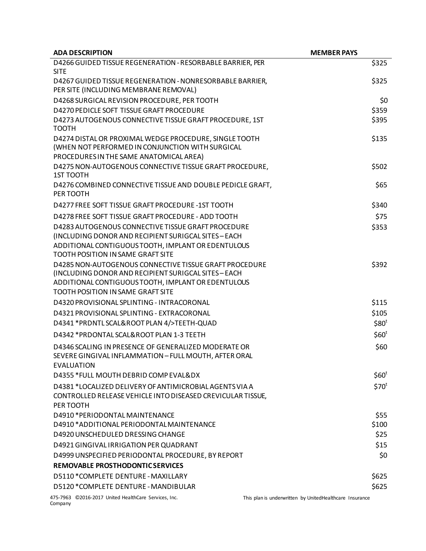| <b>ADA DESCRIPTION</b>                                                                                                                                | <b>MEMBER PAYS</b>                                      |
|-------------------------------------------------------------------------------------------------------------------------------------------------------|---------------------------------------------------------|
| D4266 GUIDED TISSUE REGENERATION - RESORBABLE BARRIER, PER                                                                                            | \$325                                                   |
| <b>SITE</b>                                                                                                                                           |                                                         |
| D4267 GUIDED TISSUE REGENERATION - NONRESORBABLE BARRIER,<br>PER SITE (INCLUDING MEMBRANE REMOVAL)                                                    | \$325                                                   |
| D4268 SURGICAL REVISION PROCEDURE, PER TOOTH                                                                                                          | \$0                                                     |
| D4270 PEDICLE SOFT TISSUE GRAFT PROCEDURE                                                                                                             | \$359                                                   |
| D4273 AUTOGENOUS CONNECTIVE TISSUE GRAFT PROCEDURE, 1ST<br><b>TOOTH</b>                                                                               | \$395                                                   |
| D4274 DISTAL OR PROXIMAL WEDGE PROCEDURE, SINGLE TOOTH<br>(WHEN NOT PERFORMED IN CONJUNCTION WITH SURGICAL<br>PROCEDURES IN THE SAME ANATOMICAL AREA) | \$135                                                   |
| D4275 NON-AUTOGENOUS CONNECTIVE TISSUE GRAFT PROCEDURE,<br><b>1ST TOOTH</b>                                                                           | \$502                                                   |
| D4276 COMBINED CONNECTIVE TISSUE AND DOUBLE PEDICLE GRAFT,<br>PER TOOTH                                                                               | \$65                                                    |
| D4277 FREE SOFT TISSUE GRAFT PROCEDURE -1ST TOOTH                                                                                                     | \$340                                                   |
| D4278 FREE SOFT TISSUE GRAFT PROCEDURE - ADD TOOTH                                                                                                    | \$75                                                    |
| D4283 AUTOGENOUS CONNECTIVE TISSUE GRAFT PROCEDURE                                                                                                    | \$353                                                   |
| (INCLUDING DONOR AND RECIPIENT SURIGCAL SITES-EACH                                                                                                    |                                                         |
| ADDITIONAL CONTIGUOUS TOOTH, IMPLANT OR EDENTULOUS                                                                                                    |                                                         |
| <b>TOOTH POSITION IN SAME GRAFT SITE</b>                                                                                                              |                                                         |
| D4285 NON-AUTOGENOUS CONNECTIVE TISSUE GRAFT PROCEDURE<br>(INCLUDING DONOR AND RECIPIENT SURIGCAL SITES - EACH                                        | \$392                                                   |
| ADDITIONAL CONTIGUOUS TOOTH, IMPLANT OR EDENTULOUS                                                                                                    |                                                         |
| <b>TOOTH POSITION IN SAME GRAFT SITE</b>                                                                                                              |                                                         |
| D4320 PROVISIONAL SPLINTING - INTRACORONAL                                                                                                            | \$115                                                   |
| D4321 PROVISIONAL SPLINTING - EXTRACORONAL                                                                                                            | \$105                                                   |
| D4341 *PRDNTL SCAL&ROOT PLAN 4/>TEETH-QUAD                                                                                                            | \$80 <sup>t</sup>                                       |
| D4342 *PRDONTAL SCAL&ROOT PLAN 1-3 TEETH                                                                                                              | \$60 <sup>t</sup>                                       |
| D4346 SCALING IN PRESENCE OF GENERALIZED MODERATE OR                                                                                                  | \$60                                                    |
| SEVERE GINGIVAL INFLAMMATION - FULL MOUTH, AFTER ORAL<br>EVALUATION                                                                                   |                                                         |
| D4355 *FULL MOUTH DEBRID COMP EVAL&DX                                                                                                                 | \$60 <sup>t</sup>                                       |
| D4381 *LOCALIZED DELIVERY OF ANTIMICROBIAL AGENTS VIA A                                                                                               | \$70 <sup>t</sup>                                       |
| CONTROLLED RELEASE VEHICLE INTO DISEASED CREVICULAR TISSUE,<br>PER TOOTH                                                                              |                                                         |
| D4910 * PERIODONTAL MAINTENANCE                                                                                                                       | \$55                                                    |
| D4910 * ADDITIONAL PERIODONTAL MAINTENANCE                                                                                                            | \$100                                                   |
| D4920 UNSCHEDULED DRESSING CHANGE                                                                                                                     | \$25                                                    |
| D4921 GINGIVAL IRRIGATION PER QUADRANT                                                                                                                | \$15                                                    |
| D4999 UNSPECIFIED PERIODONTAL PROCEDURE, BY REPORT                                                                                                    | \$0                                                     |
| REMOVABLE PROSTHODONTIC SERVICES                                                                                                                      |                                                         |
| D5110 *COMPLETE DENTURE - MAXILLARY                                                                                                                   | \$625                                                   |
| D5120 *COMPLETE DENTURE - MANDIBULAR                                                                                                                  | \$625                                                   |
| 475-7963 ©2016-2017 United HealthCare Services, Inc.                                                                                                  | This plan is underwritten by UnitedHealthcare Insurance |

Company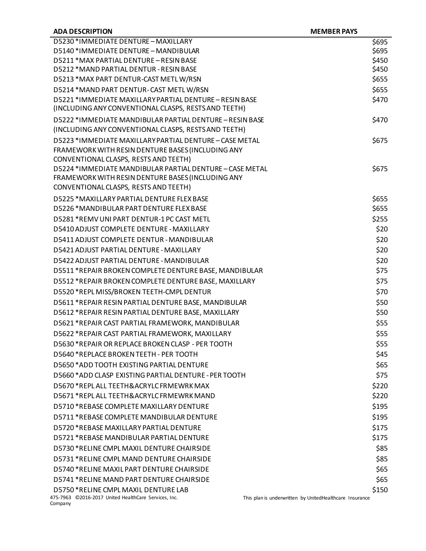| <b>ADA DESCRIPTION</b>                                                                                                                                  | <b>MEMBER PAYS</b>                                               |
|---------------------------------------------------------------------------------------------------------------------------------------------------------|------------------------------------------------------------------|
| D5230 * IMMEDIATE DENTURE - MAXILLARY                                                                                                                   | \$695                                                            |
| D5140 *IMMEDIATE DENTURE - MANDIBULAR                                                                                                                   | \$695                                                            |
| D5211 * MAX PARTIAL DENTURE - RESIN BASE                                                                                                                | \$450                                                            |
| D5212 * MAND PARTIAL DENTUR - RESIN BASE                                                                                                                | \$450                                                            |
| D5213 *MAX PART DENTUR-CAST METL W/RSN                                                                                                                  | \$655                                                            |
| D5214 *MAND PART DENTUR-CAST METLW/RSN                                                                                                                  | \$655                                                            |
| D5221 * IMMEDIATE MAXILLARY PARTIAL DENTURE - RESIN BASE<br>(INCLUDING ANY CONVENTIONAL CLASPS, RESTS AND TEETH)                                        | \$470                                                            |
| D5222 *IMMEDIATE MANDIBULAR PARTIAL DENTURE - RESIN BASE<br>(INCLUDING ANY CONVENTIONAL CLASPS, RESTS AND TEETH)                                        | \$470                                                            |
| D5223 *IMMEDIATE MAXILLARY PARTIAL DENTURE - CASE METAL<br>FRAMEWORK WITH RESIN DENTURE BASES (INCLUDING ANY<br>CONVENTIONAL CLASPS, RESTS AND TEETH)   | \$675                                                            |
| D5224 * IMMEDIATE MANDIBULAR PARTIAL DENTURE - CASE METAL<br>FRAMEWORK WITH RESIN DENTURE BASES (INCLUDING ANY<br>CONVENTIONAL CLASPS, RESTS AND TEETH) | \$675                                                            |
| D5225 *MAXILLARY PARTIAL DENTURE FLEX BASE                                                                                                              | \$655                                                            |
| D5226 *MANDIBULAR PART DENTURE FLEX BASE                                                                                                                | \$655                                                            |
| D5281 *REMV UNI PART DENTUR-1 PC CAST METL                                                                                                              | \$255                                                            |
| D5410 ADJUST COMPLETE DENTURE - MAXILLARY                                                                                                               | \$20                                                             |
| D5411 ADJUST COMPLETE DENTUR - MANDIBULAR                                                                                                               | \$20                                                             |
| D5421 ADJUST PARTIAL DENTURE - MAXILLARY                                                                                                                | \$20                                                             |
| D5422 ADJUST PARTIAL DENTURE - MANDIBULAR                                                                                                               | \$20                                                             |
| D5511 *REPAIR BROKEN COMPLETE DENTURE BASE, MANDIBULAR                                                                                                  | \$75                                                             |
| D5512 *REPAIR BROKEN COMPLETE DENTURE BASE, MAXILLARY                                                                                                   | \$75                                                             |
| D5520 *REPL MISS/BROKEN TEETH-CMPL DENTUR                                                                                                               | \$70                                                             |
| D5611 *REPAIR RESIN PARTIAL DENTURE BASE, MANDIBULAR                                                                                                    | \$50                                                             |
| D5612 *REPAIR RESIN PARTIAL DENTURE BASE, MAXILLARY                                                                                                     | \$50                                                             |
| D5621 *REPAIR CAST PARTIAL FRAMEWORK, MANDIBULAR                                                                                                        | \$55                                                             |
| D5622 *REPAIR CAST PARTIAL FRAMEWORK, MAXILLARY                                                                                                         | \$55                                                             |
| D5630 *REPAIR OR REPLACE BROKEN CLASP - PER TOOTH                                                                                                       | \$55                                                             |
| D5640 *REPLACE BROKEN TEETH - PER TOOTH                                                                                                                 | \$45                                                             |
| D5650 * ADD TOOTH FXISTING PARTIAL DENTURE                                                                                                              | \$65                                                             |
| D5660 *ADD CLASP EXISTING PARTIAL DENTURE - PER TOOTH                                                                                                   | \$75                                                             |
| D5670 *REPL ALL TEETH&ACRYLC FRMEWRK MAX                                                                                                                | \$220                                                            |
| D5671 *REPLALL TEETH&ACRYLC FRMEWRK MAND                                                                                                                | \$220                                                            |
| D5710 *REBASE COMPLETE MAXILLARY DENTURE                                                                                                                | \$195                                                            |
| D5711 *REBASE COMPLETE MANDIBULAR DENTURE                                                                                                               | \$195                                                            |
| D5720 *REBASE MAXILLARY PARTIAL DENTURE                                                                                                                 | \$175                                                            |
| D5721 *REBASE MANDIBULAR PARTIAL DENTURE                                                                                                                | \$175                                                            |
| D5730 *RELINE CMPL MAXIL DENTURE CHAIRSIDE                                                                                                              | \$85                                                             |
| D5731 *RELINE CMPL MAND DENTURE CHAIRSIDE                                                                                                               | \$85                                                             |
| D5740 *RELINE MAXIL PART DENTURE CHAIRSIDE                                                                                                              | \$65                                                             |
| D5741 *RELINE MAND PART DENTURE CHAIRSIDE                                                                                                               | \$65                                                             |
| D5750 *RELINE CMPL MAXIL DENTURE LAB<br>475-7963 ©2016-2017 United HealthCare Services, Inc.<br>Company                                                 | \$150<br>This plan is underwritten by UnitedHealthcare Insurance |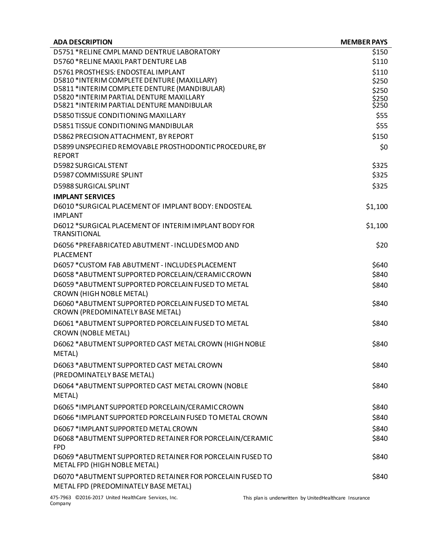| <b>ADA DESCRIPTION</b>                                                                     | <b>MEMBER PAYS</b> |
|--------------------------------------------------------------------------------------------|--------------------|
| D5751 *RELINE CMPL MAND DENTRUE LABORATORY                                                 | \$150              |
| D5760 *RELINE MAXIL PART DENTURE LAB                                                       | \$110              |
| D5761 PROSTHESIS: ENDOSTEAL IMPLANT                                                        | \$110              |
| D5810 *INTERIM COMPLETE DENTURE (MAXILLARY)                                                | \$250              |
| D5811 *INTERIM COMPLETE DENTURE (MANDIBULAR)<br>D5820 *INTERIM PARTIAL DENTURE MAXILLARY   | \$250              |
| D5821 *INTERIM PARTIAL DENTURE MANDIBULAR                                                  | \$250<br>\$250     |
| <b>D5850 TISSUE CONDITIONING MAXILLARY</b>                                                 | \$55               |
| D5851 TISSUE CONDITIONING MANDIBULAR                                                       | \$55               |
| D5862 PRECISION ATTACHMENT, BY REPORT                                                      | \$150              |
| D5899 UNSPECIFIED REMOVABLE PROSTHODONTIC PROCEDURE, BY                                    | \$0                |
| <b>REPORT</b>                                                                              |                    |
| <b>D5982 SURGICAL STENT</b>                                                                | \$325              |
| D5987 COMMISSURE SPLINT                                                                    | \$325              |
| D5988 SURGICAL SPLINT                                                                      | \$325              |
| <b>IMPLANT SERVICES</b>                                                                    |                    |
| D6010 *SURGICAL PLACEMENT OF IMPLANT BODY: ENDOSTEAL                                       | \$1,100            |
| <b>IMPLANT</b>                                                                             |                    |
| D6012 *SURGICAL PLACEMENT OF INTERIM IMPLANT BODY FOR<br><b>TRANSITIONAL</b>               | \$1,100            |
| D6056 *PREFABRICATED ABUTMENT - INCLUDES MOD AND                                           | \$20               |
| <b>PLACEMENT</b>                                                                           |                    |
| D6057 *CUSTOM FAB ABUTMENT - INCLUDES PLACEMENT                                            | \$640              |
| D6058 *ABUTMENT SUPPORTED PORCELAIN/CERAMIC CROWN                                          | \$840              |
| D6059 * ABUTMENT SUPPORTED PORCELAIN FUSED TO METAL                                        | \$840              |
| CROWN (HIGH NOBLE METAL)                                                                   |                    |
| D6060 * ABUTMENT SUPPORTED PORCELAIN FUSED TO METAL<br>CROWN (PREDOMINATELY BASE METAL)    | \$840              |
| D6061 * ABUTMENT SUPPORTED PORCELAIN FUSED TO METAL                                        | \$840              |
| <b>CROWN (NOBLE METAL)</b>                                                                 |                    |
| D6062 * ABUTMENT SUPPORTED CAST METAL CROWN (HIGH NOBLE                                    | \$840              |
| METAL)                                                                                     |                    |
| D6063 *ABUTMENT SUPPORTED CAST METAL CROWN<br>(PREDOMINATELY BASE METAL)                   | \$840              |
| D6064 * ABUTMENT SUPPORTED CAST METAL CROWN (NOBLE                                         | \$840              |
| METAL)                                                                                     |                    |
| D6065 *IMPLANT SUPPORTED PORCELAIN/CERAMIC CROWN                                           | \$840              |
| D6066 * IMPLANT SUPPORTED PORCELAIN FUSED TO METAL CROWN                                   | \$840              |
| D6067 *IMPLANT SUPPORTED METAL CROWN                                                       | \$840              |
| D6068 *ABUTMENT SUPPORTED RETAINER FOR PORCELAIN/CERAMIC<br><b>FPD</b>                     | \$840              |
| D6069 * ABUTMENT SUPPORTED RETAINER FOR PORCELAIN FUSED TO<br>METAL FPD (HIGH NOBLE METAL) | \$840              |
| D6070 * ABUTMENT SUPPORTED RETAINER FOR PORCELAIN FUSED TO                                 | \$840              |
| METAL FPD (PREDOMINATELY BASE METAL)                                                       |                    |
|                                                                                            |                    |

475-7963 ©2016-2017 United HealthCare Services, Inc. Company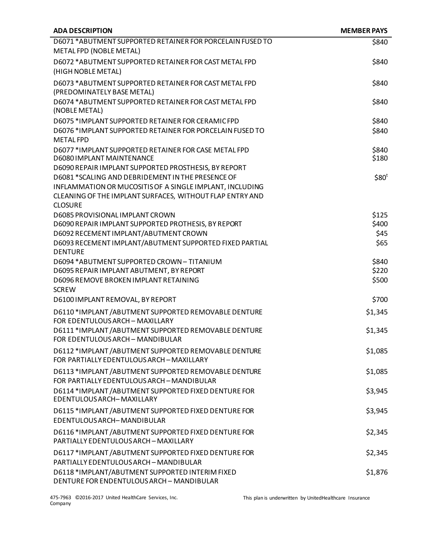| <b>ADA DESCRIPTION</b>                                                                              | <b>MEMBER PAYS</b> |
|-----------------------------------------------------------------------------------------------------|--------------------|
| D6071 * ABUTMENT SUPPORTED RETAINER FOR PORCELAIN FUSED TO<br>METAL FPD (NOBLE METAL)               | \$840              |
| D6072 * ABUTMENT SUPPORTED RETAINER FOR CAST METAL FPD<br>(HIGH NOBLE METAL)                        | \$840              |
| D6073 * ABUTMENT SUPPORTED RETAINER FOR CAST METAL FPD<br>(PREDOMINATELY BASE METAL)                | \$840              |
| D6074 * ABUTMENT SUPPORTED RETAINER FOR CAST METAL FPD<br>(NOBLE METAL)                             | \$840              |
| D6075 *IMPLANT SUPPORTED RETAINER FOR CERAMIC FPD                                                   | \$840              |
| D6076 *IMPLANT SUPPORTED RETAINER FOR PORCELAIN FUSED TO<br><b>METAL FPD</b>                        | \$840              |
| D6077 *IMPLANT SUPPORTED RETAINER FOR CASE METAL FPD                                                | \$840              |
| D6080 IMPLANT MAINTENANCE<br>D6090 REPAIR IMPLANT SUPPORTED PROSTHESIS, BY REPORT                   | \$180              |
| D6081 *SCALING AND DEBRIDEMENT IN THE PRESENCE OF                                                   | \$80 <sup>t</sup>  |
| INFLAMMATION OR MUCOSITIS OF A SINGLE IMPLANT, INCLUDING                                            |                    |
| CLEANING OF THE IMPLANT SURFACES, WITHOUT FLAP ENTRY AND<br><b>CLOSURE</b>                          |                    |
| D6085 PROVISIONAL IMPLANT CROWN                                                                     | \$125              |
| D6090 REPAIR IMPLANT SUPPORTED PROTHESIS, BY REPORT                                                 | \$400              |
| D6092 RECEMENT IMPLANT/ABUTMENT CROWN                                                               | \$45               |
| D6093 RECEMENT IMPLANT/ABUTMENT SUPPORTED FIXED PARTIAL<br><b>DENTURE</b>                           | \$65               |
| D6094 * ABUTMENT SUPPORTED CROWN - TITANIUM                                                         | \$840              |
| D6095 REPAIR IMPLANT ABUTMENT, BY REPORT                                                            | \$220              |
| D6096 REMOVE BROKEN IMPLANT RETAINING<br><b>SCREW</b>                                               | \$500              |
| D6100 IMPLANT REMOVAL, BY REPORT                                                                    | \$700              |
| D6110 *IMPLANT / ABUTMENT SUPPORTED REMOVABLE DENTURE<br>FOR EDENTULOUS ARCH - MAXILLARY            | \$1,345            |
| D6111 *IMPLANT / ABUTMENT SUPPORTED REMOVABLE DENTURE<br>FOR FDFNTULOUS ARCH - MANDIBULAR           | \$1,345            |
| D6112 *IMPLANT / ABUTMENT SUPPORTED REMOVABLE DENTURE<br>FOR PARTIALLY EDENTULOUS ARCH - MAXILLARY  | \$1,085            |
| D6113 *IMPLANT / ABUTMENT SUPPORTED REMOVABLE DENTURE<br>FOR PARTIALLY EDENTULOUS ARCH - MANDIBULAR | \$1,085            |
| D6114 *IMPLANT / ABUTMENT SUPPORTED FIXED DENTURE FOR<br><b>EDENTULOUS ARCH-MAXILLARY</b>           | \$3,945            |
| D6115 *IMPLANT / ABUTMENT SUPPORTED FIXED DENTURE FOR<br>EDENTULOUS ARCH-MANDIBULAR                 | \$3,945            |
| D6116 *IMPLANT / ABUTMENT SUPPORTED FIXED DENTURE FOR<br>PARTIALLY EDENTULOUS ARCH - MAXILLARY      | \$2,345            |
| D6117 *IMPLANT / ABUTMENT SUPPORTED FIXED DENTURE FOR<br>PARTIALLY EDENTULOUS ARCH - MANDIBULAR     | \$2,345            |
| D6118 *IMPLANT/ABUTMENT SUPPORTED INTERIM FIXED<br>DENTURE FOR ENDENTULOUS ARCH - MANDIBULAR        | \$1,876            |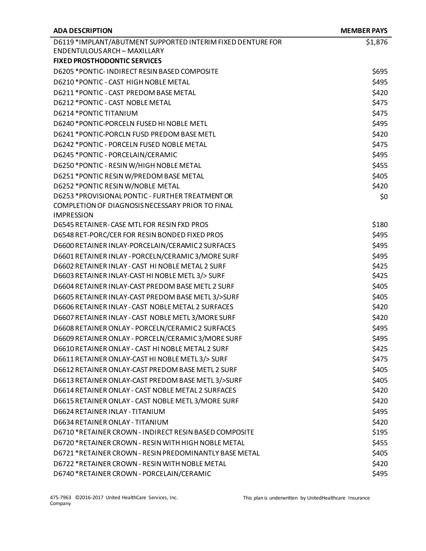| <b>ADA DESCRIPTION</b>                                      | <b>MEMBER PAYS</b> |
|-------------------------------------------------------------|--------------------|
| D6119 *IMPLANT/ABUTMENT SUPPORTED INTERIM FIXED DENTURE FOR | \$1,876            |
| <b>ENDENTULOUS ARCH - MAXILLARY</b>                         |                    |
| <b>FIXED PROSTHODONTIC SERVICES</b>                         |                    |
| D6205 *PONTIC-INDIRECT RESIN BASED COMPOSITE                | \$695              |
| D6210 * PONTIC - CAST HIGH NOBLE METAL                      | \$495              |
| D6211 *PONTIC - CAST PREDOM BASE METAL                      | \$420              |
| D6212 * PONTIC - CAST NOBLE METAL                           | \$475              |
| D6214 * PONTIC TITANIUM                                     | \$475              |
| D6240 *PONTIC-PORCELN FUSED HI NOBLE METL                   | \$495              |
| D6241 *PONTIC-PORCLN FUSD PREDOM BASE METL                  | \$420              |
| D6242 *PONTIC - PORCELN FUSED NOBLE METAL                   | \$475              |
| D6245 * PONTIC - PORCELAIN/CERAMIC                          | \$495              |
| D6250 *PONTIC - RESIN W/HIGH NOBLE METAL                    | \$455              |
| D6251 *PONTIC RESIN W/PREDOM BASE METAL                     | \$405              |
| D6252 *PONTIC RESIN W/NOBLE METAL                           | \$420              |
| D6253 *PROVISIONAL PONTIC - FURTHER TREATMENT OR            | \$0                |
| COMPLETION OF DIAGNOSIS NECESSARY PRIOR TO FINAL            |                    |
| <b>IMPRESSION</b>                                           |                    |
| D6545 RETAINER-CASE MTL FOR RESIN FXD PROS                  | \$180              |
| D6548 RET-PORC/CER FOR RESIN BONDED FIXED PROS              | \$495              |
| D6600 RETAINER INLAY-PORCELAIN/CERAMIC 2 SURFACES           | \$495              |
| D6601 RETAINER INLAY - PORCELN/CERAMIC3/MORE SURF           | \$495              |
| D6602 RETAINER INLAY - CAST HI NOBLE METAL 2 SURF           | \$425              |
| D6603 RETAINER INLAY-CAST HI NOBLE METL 3/> SURF            | \$425              |
| D6604 RETAINER INLAY-CAST PREDOM BASE METL 2 SURF           | \$405              |
| D6605 RETAINER INLAY-CAST PREDOM BASE METL 3/>SURF          | \$405              |
| D6606 RETAINER INLAY - CAST NOBLE METAL 2 SURFACES          | \$420              |
| D6607 RETAINER INLAY - CAST NOBLE METL 3/MORE SURF          | \$420              |
| D6608 RETAINER ONLAY - PORCELN/CERAMIC 2 SURFACES           | \$495              |
| D6609 RETAINER ONLAY - PORCELN/CERAMIC3/MORE SURF           | \$495              |
| D6610 RETAINER ONLAY - CAST HI NOBLE METAL 2 SURF           | \$425              |
| D6611 RETAINER ONLAY-CAST HI NOBLE METL 3/> SURF            | \$475              |
| D6612 RETAINER ONLAY-CAST PREDOM BASE METL 2 SURF           | \$405              |
| D6613 RETAINER ONLAY-CAST PREDOM BASE METL 3/>SURF          | \$405              |
| D6614 RETAINER ONLAY - CAST NOBLE METAL 2 SURFACES          | \$420              |
| D6615 RETAINER ONLAY - CAST NOBLE METL 3/MORE SURF          | \$420              |
| D6624 RETAINER INLAY - TITANIUM                             | \$495              |
| D6634 RETAINER ONLAY - TITANIUM                             | \$420              |
| D6710 *RETAINER CROWN - INDIRECT RESIN BASED COMPOSITE      | \$195              |
| D6720 *RETAINER CROWN - RESIN WITH HIGH NOBLE METAL         | \$455              |
| D6721 *RETAINER CROWN - RESIN PREDOMINANTLY BASE METAL      | \$405              |
| D6722 *RETAINER CROWN - RESIN WITH NOBLE METAL              | \$420              |
| D6740 *RETAINER CROWN - PORCELAIN/CERAMIC                   | \$495              |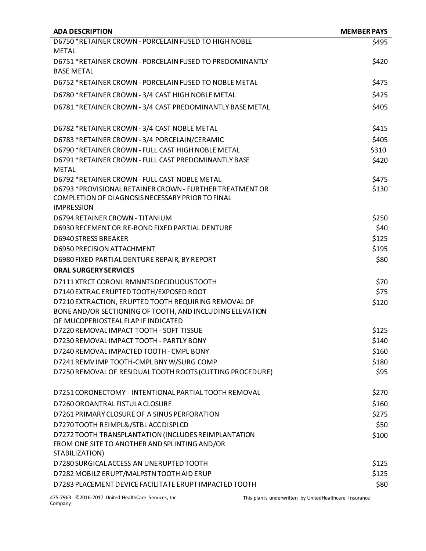| <b>ADA DESCRIPTION</b>                                                                                    | <b>MEMBER PAYS</b> |
|-----------------------------------------------------------------------------------------------------------|--------------------|
| D6750 *RETAINER CROWN - PORCELAIN FUSED TO HIGH NOBLE                                                     | \$495              |
| <b>METAL</b>                                                                                              |                    |
| D6751 *RETAINER CROWN - PORCELAIN FUSED TO PREDOMINANTLY                                                  | \$420              |
| <b>BASE METAL</b>                                                                                         |                    |
| D6752 *RETAINER CROWN - PORCELAIN FUSED TO NOBLE METAL                                                    | \$475              |
| D6780 *RETAINER CROWN - 3/4 CAST HIGH NOBLE METAL                                                         | \$425              |
| D6781 *RETAINER CROWN - 3/4 CAST PREDOMINANTLY BASE METAL                                                 | \$405              |
| D6782 *RETAINER CROWN - 3/4 CAST NOBLE METAL                                                              | \$415              |
| D6783 *RETAINER CROWN - 3/4 PORCELAIN/CERAMIC                                                             | \$405              |
| D6790 *RETAINER CROWN - FULL CAST HIGH NOBLE METAL                                                        | \$310              |
| D6791 *RETAINER CROWN - FULL CAST PREDOMINANTLY BASE                                                      | \$420              |
| <b>METAL</b>                                                                                              |                    |
| D6792 *RETAINER CROWN - FULL CAST NOBLE METAL<br>D6793 *PROVISIONAL RETAINER CROWN - FURTHER TREATMENT OR | \$475<br>\$130     |
| COMPLETION OF DIAGNOSIS NECESSARY PRIOR TO FINAL                                                          |                    |
| <b>IMPRESSION</b>                                                                                         |                    |
| D6794 RETAINER CROWN - TITANIUM                                                                           | \$250              |
| D6930 RECEMENT OR RE-BOND FIXED PARTIAL DENTURE                                                           | \$40               |
| <b>D6940 STRESS BREAKER</b>                                                                               | \$125              |
| D6950 PRECISION ATTACHMENT                                                                                | \$195              |
| D6980 FIXED PARTIAL DENTURE REPAIR, BY REPORT                                                             | \$80               |
| <b>ORAL SURGERY SERVICES</b>                                                                              |                    |
| D7111 XTRCT CORONL RMNNTS DECIDUOUS TOOTH                                                                 | \$70               |
| D7140 EXTRAC ERUPTED TOOTH/EXPOSED ROOT                                                                   | \$75               |
| D7210 EXTRACTION, ERUPTED TOOTH REQUIRING REMOVAL OF                                                      | \$120              |
| BONE AND/OR SECTIONING OF TOOTH, AND INCLUDING ELEVATION<br>OF MUCOPERIOSTEAL FLAP IF INDICATED           |                    |
| D7220 REMOVAL IMPACT TOOTH - SOFT TISSUE                                                                  | \$125              |
| D7230 REMOVAL IMPACT TOOTH - PARTLY BONY                                                                  | \$140              |
| D7240 REMOVAL IMPACTED TOOTH - CMPL BONY                                                                  | \$160              |
| D7241 REMV IMP TOOTH-CMPL BNY W/SURG COMP                                                                 | \$180              |
| D7250 REMOVAL OF RESIDUAL TOOTH ROOTS (CUTTING PROCEDURE)                                                 | \$95               |
|                                                                                                           |                    |
| D7251 CORONECTOMY - INTENTIONAL PARTIAL TOOTH REMOVAL                                                     | \$270              |
| D7260 OROANTRAL FISTULA CLOSURE                                                                           | \$160              |
| D7261 PRIMARY CLOSURE OF A SINUS PERFORATION                                                              | \$275              |
| D7270 TOOTH REIMPL&/STBL ACC DISPLCD                                                                      | \$50               |
| D7272 TOOTH TRANSPLANTATION (INCLUDES REIMPLANTATION                                                      | \$100              |
| FROM ONE SITE TO ANOTHER AND SPLINTING AND/OR<br>STABILIZATION)                                           |                    |
| D7280 SURGICAL ACCESS AN UNERUPTED TOOTH                                                                  | \$125              |
| D7282 MOBILZ ERUPT/MALPSTN TOOTH AID ERUP                                                                 | \$125              |
| D7283 PLACEMENT DEVICE FACILITATE ERUPT IMPACTED TOOTH                                                    | \$80               |
|                                                                                                           |                    |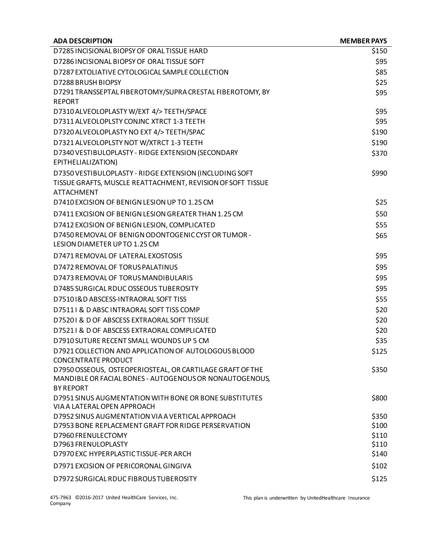| <b>ADA DESCRIPTION</b>                                                                | <b>MEMBER PAYS</b> |
|---------------------------------------------------------------------------------------|--------------------|
| D7285 INCISIONAL BIOPSY OF ORAL TISSUE HARD                                           | \$150              |
| D7286 INCISIONAL BIOPSY OF ORAL TISSUE SOFT                                           | \$95               |
| D7287 EXTOLIATIVE CYTOLOGICAL SAMPLE COLLECTION                                       | \$85               |
| D7288 BRUSH BIOPSY                                                                    | \$25               |
| D7291 TRANSSEPTAL FIBEROTOMY/SUPRA CRESTAL FIBEROTOMY, BY                             | \$95               |
| <b>REPORT</b>                                                                         |                    |
| D7310 ALVEOLOPLASTY W/EXT 4/> TEETH/SPACE                                             | \$95               |
| D7311 ALVEOLOPLSTY CONJNC XTRCT 1-3 TEETH                                             | \$95               |
| D7320 ALVEOLOPLASTY NO EXT 4/> TEETH/SPAC                                             | \$190              |
| D7321 ALVEOLOPLSTY NOT W/XTRCT 1-3 TEETH                                              | \$190              |
| D7340 VESTIBULOPLASTY - RIDGE EXTENSION (SECONDARY                                    | \$370              |
| EPITHELIALIZATION)                                                                    |                    |
| D7350 VESTIBULOPLASTY - RIDGE EXTENSION (INCLUDING SOFT                               | \$990              |
| TISSUE GRAFTS, MUSCLE REATTACHMENT, REVISION OF SOFT TISSUE                           |                    |
| <b>ATTACHMENT</b>                                                                     |                    |
| D7410 EXCISION OF BENIGN LESION UP TO 1.25 CM                                         | \$25               |
| D7411 EXCISION OF BENIGN LESION GREATER THAN 1.25 CM                                  | \$50               |
| D7412 EXCISION OF BENIGN LESION, COMPLICATED                                          | \$55               |
| D7450 REMOVAL OF BENIGN ODONTOGENIC CYST OR TUMOR -                                   | \$65               |
| LESION DIAMETER UP TO 1.25 CM                                                         |                    |
| D7471 REMOVAL OF LATERAL EXOSTOSIS                                                    | \$95               |
| D7472 REMOVAL OF TORUS PALATINUS                                                      | \$95               |
| D7473 REMOVAL OF TORUS MANDIBULARIS                                                   | \$95               |
| D7485 SURGICAL RDUC OSSEOUS TUBEROSITY                                                | \$95               |
| D75101&D ABSCESS-INTRAORAL SOFT TISS                                                  | \$55               |
| D75111 & D ABSC INTRAORAL SOFT TISS COMP                                              | \$20               |
| D75201 & D OF ABSCESS EXTRAORAL SOFT TISSUE                                           | \$20               |
| D75211 & D OF ABSCESS EXTRAORAL COMPLICATED                                           | \$20               |
| D7910 SUTURE RECENT SMALL WOUNDS UP 5 CM                                              | \$35               |
| D7921 COLLECTION AND APPLICATION OF AUTOLOGOUS BLOOD                                  | \$125              |
| <b>CONCENTRATE PRODUCT</b>                                                            |                    |
| D7950 OSSEOUS, OSTEOPERIOSTEAL, OR CARTILAGE GRAFT OF THE                             | \$350              |
| MANDIBLE OR FACIAL BONES - AUTOGENOUS OR NONAUTOGENOUS,                               |                    |
| <b>BY REPORT</b>                                                                      |                    |
| D7951 SINUS AUGMENTATION WITH BONE OR BONE SUBSTITUTES<br>VIA A LATERAL OPEN APPROACH | \$800              |
| D7952 SINUS AUGMENTATION VIA A VERTICAL APPROACH                                      | \$350              |
| D7953 BONE REPLACEMENT GRAFT FOR RIDGE PERSERVATION                                   | \$100              |
| D7960 FRENULECTOMY                                                                    | \$110              |
| D7963 FRENULOPLASTY                                                                   | \$110              |
| D7970 EXC HYPERPLASTIC TISSUE-PER ARCH                                                | \$140              |
| D7971 EXCISION OF PERICORONAL GINGIVA                                                 | \$102              |
| D7972 SURGICAL RDUC FIBROUS TUBEROSITY                                                | \$125              |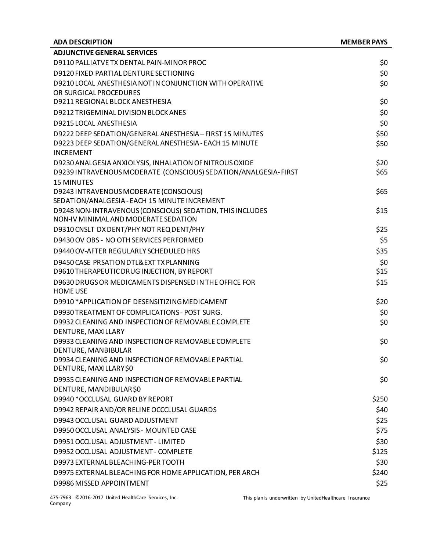| <b>ADA DESCRIPTION</b>                                                      | <b>MEMBER PAYS</b> |
|-----------------------------------------------------------------------------|--------------------|
| <b>ADJUNCTIVE GENERAL SERVICES</b>                                          |                    |
| D9110 PALLIATVE TX DENTAL PAIN-MINOR PROC                                   | \$0                |
| D9120 FIXED PARTIAL DENTURE SECTIONING                                      | \$0                |
| D9210 LOCAL ANESTHESIA NOT IN CONJUNCTION WITH OPERATIVE                    | \$0                |
| OR SURGICAL PROCEDURES                                                      |                    |
| D9211 REGIONAL BLOCK ANESTHESIA                                             | \$0                |
| D9212 TRIGEMINAL DIVISION BLOCK ANES                                        | \$0                |
| D9215 LOCAL ANESTHESIA                                                      | \$0                |
| D9222 DEEP SEDATION/GENERAL ANESTHESIA - FIRST 15 MINUTES                   | \$50               |
| D9223 DEEP SEDATION/GENERAL ANESTHESIA - EACH 15 MINUTE<br><b>INCREMENT</b> | \$50               |
| D9230 ANALGESIA ANXIOLYSIS, INHALATION OF NITROUS OXIDE                     | \$20               |
| D9239 INTRAVENOUS MODERATE (CONSCIOUS) SEDATION/ANALGESIA- FIRST            | \$65               |
| <b>15 MINUTES</b>                                                           |                    |
| D9243 INTRAVENOUS MODERATE (CONSCIOUS)                                      | \$65               |
| SEDATION/ANALGESIA - EACH 15 MINUTE INCREMENT                               |                    |
| D9248 NON-INTRAVENOUS (CONSCIOUS) SEDATION, THIS INCLUDES                   | \$15               |
| NON-IV MINIMAL AND MODERATE SEDATION                                        |                    |
| D9310 CNSLT DX DENT/PHY NOT REQ DENT/PHY                                    | \$25               |
| D9430 OV OBS - NO OTH SERVICES PERFORMED                                    | \$5                |
| D9440 OV-AFTER REGULARLY SCHEDULED HRS                                      | \$35               |
| D9450 CASE PRSATION DTL& EXT TX PLANNING                                    | \$0                |
| D9610 THERAPEUTIC DRUG INJECTION, BY REPORT                                 | \$15               |
| D9630 DRUGS OR MEDICAMENTS DISPENSED IN THE OFFICE FOR                      | \$15               |
| <b>HOME USE</b>                                                             |                    |
| D9910 *APPLICATION OF DESENSITIZING MEDICAMENT                              | \$20               |
| D9930 TREATMENT OF COMPLICATIONS - POST SURG.                               | \$0                |
| D9932 CLEANING AND INSPECTION OF REMOVABLE COMPLETE                         | \$0                |
| DENTURE, MAXILLARY<br>D9933 CLEANING AND INSPECTION OF REMOVABLE COMPLETE   | \$0                |
| DENTURE, MANBIBULAR                                                         |                    |
| D9934 CLEANING AND INSPECTION OF REMOVABLE PARTIAL                          | \$0                |
| DENTURE, MAXILLARY\$0                                                       |                    |
| D9935 CLEANING AND INSPECTION OF REMOVABLE PARTIAL                          | \$0                |
| DENTURE, MANDIBULAR\$0                                                      |                    |
| D9940 * OCCLUSAL GUARD BY REPORT                                            | \$250              |
| D9942 REPAIR AND/OR RELINE OCCCLUSAL GUARDS                                 | \$40               |
| D9943 OCCLUSAL GUARD ADJUSTMENT                                             | \$25               |
| D9950 OCCLUSAL ANALYSIS - MOUNTED CASE                                      | \$75               |
| D9951 OCCLUSAL ADJUSTMENT - LIMITED                                         | \$30               |
| D9952 OCCLUSAL ADJUSTMENT - COMPLETE                                        | \$125              |
| D9973 EXTERNAL BLEACHING-PER TOOTH                                          | \$30               |
| D9975 EXTERNAL BLEACHING FOR HOME APPLICATION, PER ARCH                     | \$240              |
| D9986 MISSED APPOINTMENT                                                    | \$25               |
|                                                                             |                    |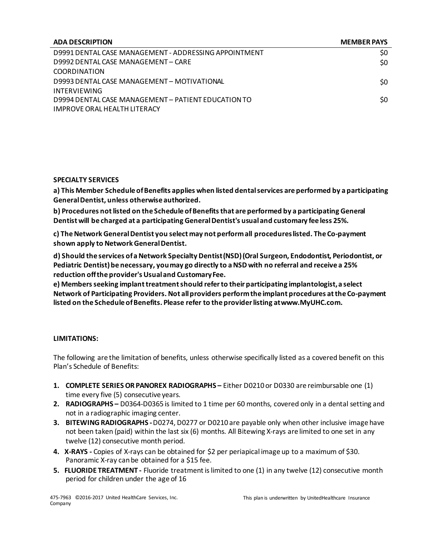| <b>ADA DESCRIPTION</b>                                | <b>MEMBER PAYS</b> |
|-------------------------------------------------------|--------------------|
| D9991 DENTAL CASE MANAGEMENT - ADDRESSING APPOINTMENT | S0                 |
| D9992 DENTAL CASE MANAGEMENT - CARE                   | \$0                |
| COORDINATION                                          |                    |
| D9993 DENTAL CASE MANAGEMENT - MOTIVATIONAL           | \$0                |
| INTERVIEWING                                          |                    |
| D9994 DENTAL CASE MANAGEMENT - PATIENT EDUCATION TO   | \$0                |
| IMPROVE ORAL HEALTH LITERACY                          |                    |

#### **SPECIALTY SERVICES**

**a) This Member Schedule of Benefits applies when listed dental services are performed by a participating General Dentist, unless otherwise authorized.**

**b) Procedures not listed on the Schedule of Benefits that are performed by a participating General Dentist will be charged at a participating General Dentist's usual and customary fee less 25%.**

**c) The Network General Dentist you select may not perform all procedures listed. The Co-payment shown apply to Network General Dentist.**

**d) Should the services ofaNetwork Specialty Dentist(NSD)(Oral Surgeon, Endodontist, Periodontist, or Pediatric Dentist) be necessary, you may go directly to a NSD with no referral and receive a 25% reduction off the provider's Usual and CustomaryFee.**

**e) Members seeking implant treatment should refer to their participating implantologist, a select Network of Participating Providers. Not all providers perform the implant procedures at the Co-payment listed on the Schedule of Benefits. Please refer to the provider listing a[twww.MyUHC.com.](http://www.myuhc.com/)**

#### **LIMITATIONS:**

The following are the limitation of benefits, unless otherwise specifically listed as a covered benefit on this Plan's Schedule of Benefits:

- **1. COMPLETE SERIES OR PANOREX RADIOGRAPHS –** Either D0210 or D0330 are reimbursable one (1) time every five (5) consecutive years.
- **2. RADIOGRAPHS –** D0364-D0365 is limited to 1 time per 60 months, covered only in a dental setting and not in a radiographic imaging center.
- **3. BITEWING RADIOGRAPHS -**D0274, D0277 or D0210 are payable only when other inclusive image have not been taken (paid) within the last six (6) months. All Bitewing X-rays are limited to one set in any twelve (12) consecutive month period.
- **4. X-RAYS -** Copies of X-rays can be obtained for \$2 per periapical image up to a maximum of \$30. Panoramic X-ray can be obtained for a \$15 fee.
- **5. FLUORIDE TREATMENT -** Fluoride treatment is limited to one (1) in any twelve (12) consecutive month period for children under the age of 16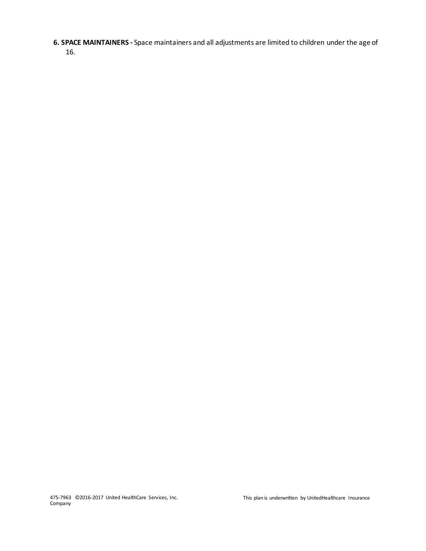**6. SPACE MAINTAINERS -** Space maintainers and all adjustments are limited to children under the age of 16.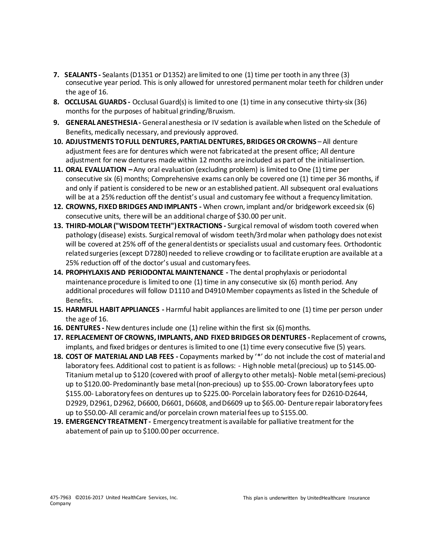- **7. SEALANTS -** Sealants (D1351 or D1352) are limited to one (1) time per tooth in any three (3) consecutive year period. This is only allowed for unrestored permanent molar teeth for children under the age of 16.
- **8. OCCLUSAL GUARDS -** Occlusal Guard(s) is limited to one (1) time in any consecutive thirty-six (36) months for the purposes of habitual grinding/Bruxism.
- **9. GENERAL ANESTHESIA -** General anesthesia or IV sedation is available when listed on the Schedule of Benefits, medically necessary, and previously approved.
- **10. ADJUSTMENTS TO FULL DENTURES, PARTIAL DENTURES, BRIDGES OR CROWNS** –All denture adjustment fees are for dentures which were not fabricated at the present office; All denture adjustment for new dentures made within 12 months are included as part of the initialinsertion.
- **11. ORAL EVALUATION –** Any oral evaluation (excluding problem) is limited to One (1) time per consecutive six (6) months; Comprehensive exams canonly be covered one (1) time per 36 months, if and only if patient is considered to be new or an established patient. All subsequent oral evaluations will be at a 25% reduction off the dentist's usual and customary fee without a frequency limitation.
- **12. CROWNS, FIXED BRIDGES AND IMPLANTS -** When crown, implant and/or bridgework exceed six (6) consecutive units, there will be an additional charge of \$30.00 per unit.
- **13. THIRD-MOLAR ("WISDOM TEETH") EXTRACTIONS -** Surgical removal of wisdom tooth covered when pathology (disease) exists. Surgical removal of wisdom teeth/3rd molar when pathology does notexist will be covered at 25% off of the general dentists or specialists usual and customary fees. Orthodontic related surgeries (except D7280) needed to relieve crowding or to facilitate eruption are available at a 25% reduction off of the doctor's usual and customary fees.
- **14. PROPHYLAXIS AND PERIODONTAL MAINTENANCE -** The dental prophylaxis or periodontal maintenance procedure is limited to one (1) time in any consecutive six (6) month period. Any additional procedures will follow D1110 and D4910 Member copayments as listed in the Schedule of Benefits.
- **15. HARMFUL HABIT APPLIANCES -** Harmful habit appliances are limited to one (1) time per person under the age of 16.
- **16. DENTURES** New dentures include one (1) reline within the first six (6) months.
- **17. REPLACEMENT OF CROWNS, IMPLANTS, AND FIXED BRIDGES OR DENTURES -**Replacement of crowns, implants, and fixed bridges or dentures islimited to one (1) time every consecutive five (5) years.
- **18. COST OF MATERIAL AND LAB FEES -** Copayments marked by '\*' do not include the cost of material and laboratory fees. Additional cost to patient is as follows: - High noble metal (precious) up to \$145.00- Titanium metal up to \$120 (covered with proof of allergy to other metals)- Noble metal (semi-precious) up to \$120.00-Predominantly base metal (non-precious) up to \$55.00-Crown laboratory fees upto \$155.00- Laboratory fees on dentures up to \$225.00-Porcelain laboratory fees for D2610-D2644, D2929, D2961, D2962, D6600, D6601, D6608, and D6609 up to \$65.00- Denture repair laboratory fees up to \$50.00-All ceramic and/or porcelain crown material fees up to \$155.00.
- **19. EMERGENCY TREATMENT -** Emergency treatment is available for palliative treatment for the abatement of pain up to \$100.00 per occurrence.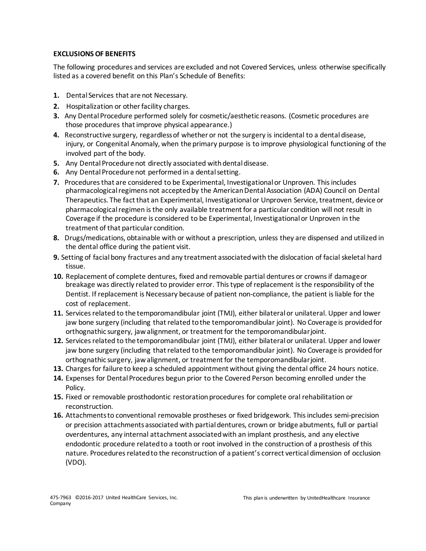#### **EXCLUSIONS OF BENEFITS**

The following procedures and services are excluded and not Covered Services, unless otherwise specifically listed as a covered benefit on this Plan's Schedule of Benefits:

- **1.** Dental Services that are not Necessary.
- **2.** Hospitalization or other facility charges.
- **3.** Any Dental Procedure performed solely for cosmetic/aesthetic reasons. (Cosmetic procedures are those procedures that improve physical appearance.)
- **4.** Reconstructive surgery, regardless of whether or not the surgery is incidental to a dental disease, injury, or Congenital Anomaly, when the primary purpose is to improve physiological functioning of the involved part of the body.
- **5.** Any Dental Procedure not directly associated with dental disease.
- **6.** Any Dental Procedure not performed in a dental setting.
- **7.** Procedures that are considered to be Experimental, Investigational or Unproven. This includes pharmacological regimens not accepted by the American Dental Association (ADA) Council on Dental Therapeutics. The fact that an Experimental, Investigational or Unproven Service, treatment, device or pharmacological regimen is the only available treatment for a particular condition will not result in Coverage if the procedure is considered to be Experimental, Investigational or Unproven in the treatment of that particular condition.
- **8.** Drugs/medications, obtainable with or without a prescription, unless they are dispensed and utilized in the dental office during the patient visit.
- **9.** Setting of facial bony fractures and any treatment associated with the dislocation of facial skeletal hard tissue.
- **10.** Replacement of complete dentures, fixed and removable partial dentures or crowns if damageor breakage was directly related to provider error. This type of replacement is the responsibility of the Dentist. If replacement is Necessary because of patient non-compliance, the patient is liable for the cost of replacement.
- **11.** Services related to the temporomandibular joint (TMJ), either bilateral or unilateral. Upper and lower jaw bone surgery (including that related to the temporomandibular joint). No Coverage is providedfor orthognathic surgery, jaw alignment, or treatment for the temporomandibularjoint.
- **12.** Services related to the temporomandibular joint (TMJ), either bilateral or unilateral. Upper and lower jaw bone surgery (including that related to the temporomandibular joint). No Coverage is providedfor orthognathic surgery, jaw alignment, or treatment for the temporomandibularjoint.
- **13.** Charges for failure to keep a scheduled appointment without giving the dental office 24 hours notice.
- **14.** Expenses for Dental Procedures begun prior to the Covered Person becoming enrolled under the Policy.
- **15.** Fixed or removable prosthodontic restoration procedures for complete oral rehabilitation or reconstruction.
- **16.** Attachments to conventional removable prostheses or fixed bridgework. This includes semi-precision or precision attachments associated with partial dentures, crown or bridge abutments, full or partial overdentures, any internal attachment associated with an implant prosthesis, and any elective endodontic procedure related to a tooth or root involved in the construction of a prosthesis of this nature. Procedures related to the reconstruction of a patient's correct vertical dimension of occlusion (VDO).